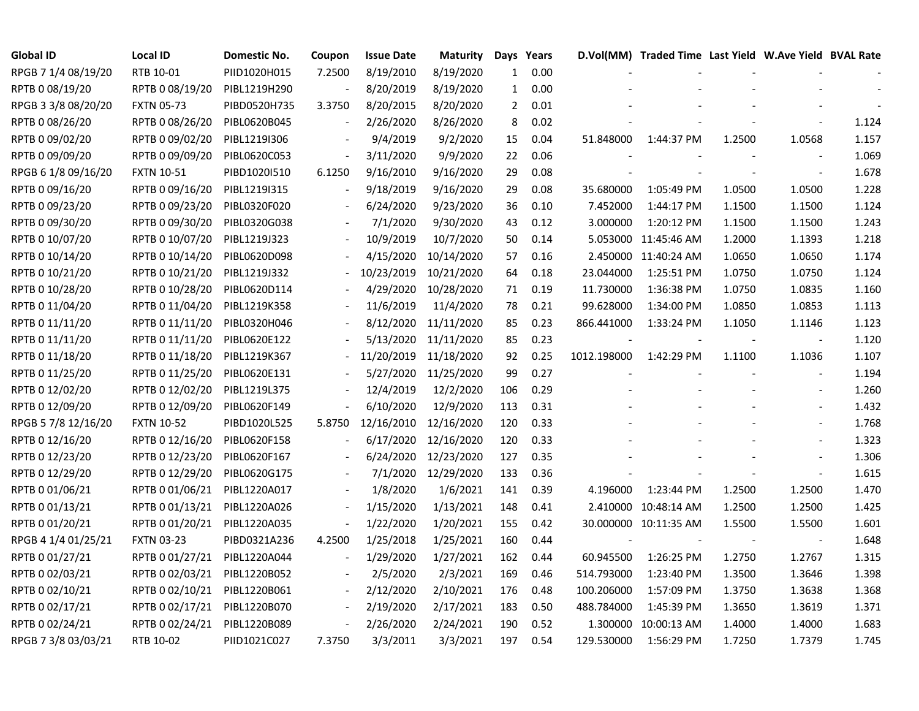| Global ID           | Local ID          | Domestic No. | Coupon | <b>Issue Date</b> | <b>Maturity</b> |              | Days Years |             | D.Vol(MM) Traded Time Last Yield W.Ave Yield BVAL Rate |        |                          |       |
|---------------------|-------------------|--------------|--------|-------------------|-----------------|--------------|------------|-------------|--------------------------------------------------------|--------|--------------------------|-------|
| RPGB 7 1/4 08/19/20 | RTB 10-01         | PIID1020H015 | 7.2500 | 8/19/2010         | 8/19/2020       | $\mathbf{1}$ | 0.00       |             |                                                        |        |                          |       |
| RPTB 0 08/19/20     | RPTB 0 08/19/20   | PIBL1219H290 |        | 8/20/2019         | 8/19/2020       | $\mathbf{1}$ | 0.00       |             |                                                        |        |                          |       |
| RPGB 3 3/8 08/20/20 | <b>FXTN 05-73</b> | PIBD0520H735 | 3.3750 | 8/20/2015         | 8/20/2020       | $\mathbf{2}$ | 0.01       |             |                                                        |        |                          |       |
| RPTB 0 08/26/20     | RPTB 0 08/26/20   | PIBL0620B045 |        | 2/26/2020         | 8/26/2020       | 8            | 0.02       |             |                                                        |        |                          | 1.124 |
| RPTB 0 09/02/20     | RPTB 0 09/02/20   | PIBL1219I306 |        | 9/4/2019          | 9/2/2020        | 15           | 0.04       | 51.848000   | 1:44:37 PM                                             | 1.2500 | 1.0568                   | 1.157 |
| RPTB 0 09/09/20     | RPTB 0 09/09/20   | PIBL0620C053 |        | 3/11/2020         | 9/9/2020        | 22           | 0.06       |             |                                                        |        | $\sim$                   | 1.069 |
| RPGB 6 1/8 09/16/20 | <b>FXTN 10-51</b> | PIBD1020I510 | 6.1250 | 9/16/2010         | 9/16/2020       | 29           | 0.08       |             |                                                        |        | $\overline{\phantom{a}}$ | 1.678 |
| RPTB 0 09/16/20     | RPTB 0 09/16/20   | PIBL1219I315 |        | 9/18/2019         | 9/16/2020       | 29           | 0.08       | 35.680000   | 1:05:49 PM                                             | 1.0500 | 1.0500                   | 1.228 |
| RPTB 0 09/23/20     | RPTB 0 09/23/20   | PIBL0320F020 |        | 6/24/2020         | 9/23/2020       | 36           | 0.10       | 7.452000    | 1:44:17 PM                                             | 1.1500 | 1.1500                   | 1.124 |
| RPTB 0 09/30/20     | RPTB 0 09/30/20   | PIBL0320G038 |        | 7/1/2020          | 9/30/2020       | 43           | 0.12       | 3.000000    | 1:20:12 PM                                             | 1.1500 | 1.1500                   | 1.243 |
| RPTB 0 10/07/20     | RPTB 0 10/07/20   | PIBL1219J323 |        | 10/9/2019         | 10/7/2020       | 50           | 0.14       |             | 5.053000 11:45:46 AM                                   | 1.2000 | 1.1393                   | 1.218 |
| RPTB 0 10/14/20     | RPTB 0 10/14/20   | PIBL0620D098 |        | 4/15/2020         | 10/14/2020      | 57           | 0.16       |             | 2.450000 11:40:24 AM                                   | 1.0650 | 1.0650                   | 1.174 |
| RPTB 0 10/21/20     | RPTB 0 10/21/20   | PIBL1219J332 |        | 10/23/2019        | 10/21/2020      | 64           | 0.18       | 23.044000   | 1:25:51 PM                                             | 1.0750 | 1.0750                   | 1.124 |
| RPTB 0 10/28/20     | RPTB 0 10/28/20   | PIBL0620D114 |        | 4/29/2020         | 10/28/2020      | 71           | 0.19       | 11.730000   | 1:36:38 PM                                             | 1.0750 | 1.0835                   | 1.160 |
| RPTB 0 11/04/20     | RPTB 0 11/04/20   | PIBL1219K358 |        | 11/6/2019         | 11/4/2020       | 78           | 0.21       | 99.628000   | 1:34:00 PM                                             | 1.0850 | 1.0853                   | 1.113 |
| RPTB 0 11/11/20     | RPTB 0 11/11/20   | PIBL0320H046 |        | 8/12/2020         | 11/11/2020      | 85           | 0.23       | 866.441000  | 1:33:24 PM                                             | 1.1050 | 1.1146                   | 1.123 |
| RPTB 0 11/11/20     | RPTB 0 11/11/20   | PIBL0620E122 |        | 5/13/2020         | 11/11/2020      | 85           | 0.23       |             |                                                        |        | $\overline{\phantom{a}}$ | 1.120 |
| RPTB 0 11/18/20     | RPTB 0 11/18/20   | PIBL1219K367 |        | 11/20/2019        | 11/18/2020      | 92           | 0.25       | 1012.198000 | 1:42:29 PM                                             | 1.1100 | 1.1036                   | 1.107 |
| RPTB 0 11/25/20     | RPTB 0 11/25/20   | PIBL0620E131 |        | 5/27/2020         | 11/25/2020      | 99           | 0.27       |             |                                                        |        | $\blacksquare$           | 1.194 |
| RPTB 0 12/02/20     | RPTB 0 12/02/20   | PIBL1219L375 |        | 12/4/2019         | 12/2/2020       | 106          | 0.29       |             |                                                        |        | $\overline{\phantom{a}}$ | 1.260 |
| RPTB 0 12/09/20     | RPTB 0 12/09/20   | PIBL0620F149 |        | 6/10/2020         | 12/9/2020       | 113          | 0.31       |             |                                                        |        |                          | 1.432 |
| RPGB 5 7/8 12/16/20 | <b>FXTN 10-52</b> | PIBD1020L525 | 5.8750 | 12/16/2010        | 12/16/2020      | 120          | 0.33       |             |                                                        |        | $\overline{\phantom{a}}$ | 1.768 |
| RPTB 0 12/16/20     | RPTB 0 12/16/20   | PIBL0620F158 |        | 6/17/2020         | 12/16/2020      | 120          | 0.33       |             |                                                        |        | $\blacksquare$           | 1.323 |
| RPTB 0 12/23/20     | RPTB 0 12/23/20   | PIBL0620F167 |        | 6/24/2020         | 12/23/2020      | 127          | 0.35       |             |                                                        |        | $\overline{\phantom{a}}$ | 1.306 |
| RPTB 0 12/29/20     | RPTB 0 12/29/20   | PIBL0620G175 |        | 7/1/2020          | 12/29/2020      | 133          | 0.36       |             |                                                        |        | $\blacksquare$           | 1.615 |
| RPTB 0 01/06/21     | RPTB 0 01/06/21   | PIBL1220A017 |        | 1/8/2020          | 1/6/2021        | 141          | 0.39       | 4.196000    | 1:23:44 PM                                             | 1.2500 | 1.2500                   | 1.470 |
| RPTB 0 01/13/21     | RPTB 0 01/13/21   | PIBL1220A026 |        | 1/15/2020         | 1/13/2021       | 148          | 0.41       |             | 2.410000 10:48:14 AM                                   | 1.2500 | 1.2500                   | 1.425 |
| RPTB 0 01/20/21     | RPTB 0 01/20/21   | PIBL1220A035 |        | 1/22/2020         | 1/20/2021       | 155          | 0.42       |             | 30.000000 10:11:35 AM                                  | 1.5500 | 1.5500                   | 1.601 |
| RPGB 4 1/4 01/25/21 | <b>FXTN 03-23</b> | PIBD0321A236 | 4.2500 | 1/25/2018         | 1/25/2021       | 160          | 0.44       |             |                                                        |        | $\overline{\phantom{a}}$ | 1.648 |
| RPTB 0 01/27/21     | RPTB 0 01/27/21   | PIBL1220A044 |        | 1/29/2020         | 1/27/2021       | 162          | 0.44       | 60.945500   | 1:26:25 PM                                             | 1.2750 | 1.2767                   | 1.315 |
| RPTB 0 02/03/21     | RPTB 0 02/03/21   | PIBL1220B052 |        | 2/5/2020          | 2/3/2021        | 169          | 0.46       | 514.793000  | 1:23:40 PM                                             | 1.3500 | 1.3646                   | 1.398 |
| RPTB 0 02/10/21     | RPTB 0 02/10/21   | PIBL1220B061 |        | 2/12/2020         | 2/10/2021       | 176          | 0.48       | 100.206000  | 1:57:09 PM                                             | 1.3750 | 1.3638                   | 1.368 |
| RPTB 0 02/17/21     | RPTB 0 02/17/21   | PIBL1220B070 |        | 2/19/2020         | 2/17/2021       | 183          | 0.50       | 488.784000  | 1:45:39 PM                                             | 1.3650 | 1.3619                   | 1.371 |
| RPTB 0 02/24/21     | RPTB 0 02/24/21   | PIBL1220B089 |        | 2/26/2020         | 2/24/2021       | 190          | 0.52       | 1.300000    | 10:00:13 AM                                            | 1.4000 | 1.4000                   | 1.683 |
| RPGB 7 3/8 03/03/21 | RTB 10-02         | PIID1021C027 | 7.3750 | 3/3/2011          | 3/3/2021        | 197          | 0.54       | 129.530000  | 1:56:29 PM                                             | 1.7250 | 1.7379                   | 1.745 |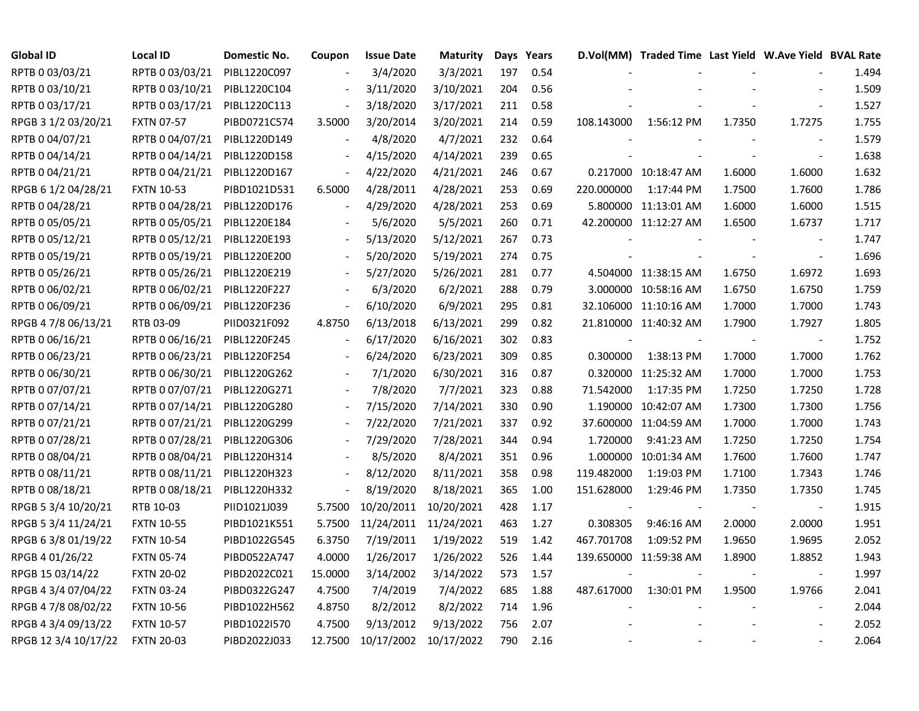| <b>Global ID</b>     | Local ID          | Domestic No. | Coupon                   | <b>Issue Date</b> | <b>Maturity</b> |     | Days Years |            | D.Vol(MM) Traded Time Last Yield W.Ave Yield BVAL Rate |        |                          |       |
|----------------------|-------------------|--------------|--------------------------|-------------------|-----------------|-----|------------|------------|--------------------------------------------------------|--------|--------------------------|-------|
| RPTB 0 03/03/21      | RPTB 0 03/03/21   | PIBL1220C097 |                          | 3/4/2020          | 3/3/2021        | 197 | 0.54       |            |                                                        |        |                          | 1.494 |
| RPTB 0 03/10/21      | RPTB 0 03/10/21   | PIBL1220C104 |                          | 3/11/2020         | 3/10/2021       | 204 | 0.56       |            |                                                        |        |                          | 1.509 |
| RPTB 0 03/17/21      | RPTB 0 03/17/21   | PIBL1220C113 |                          | 3/18/2020         | 3/17/2021       | 211 | 0.58       |            |                                                        |        |                          | 1.527 |
| RPGB 3 1/2 03/20/21  | <b>FXTN 07-57</b> | PIBD0721C574 | 3.5000                   | 3/20/2014         | 3/20/2021       | 214 | 0.59       | 108.143000 | 1:56:12 PM                                             | 1.7350 | 1.7275                   | 1.755 |
| RPTB 0 04/07/21      | RPTB 0 04/07/21   | PIBL1220D149 |                          | 4/8/2020          | 4/7/2021        | 232 | 0.64       |            |                                                        |        | $\overline{\phantom{a}}$ | 1.579 |
| RPTB 0 04/14/21      | RPTB 0 04/14/21   | PIBL1220D158 |                          | 4/15/2020         | 4/14/2021       | 239 | 0.65       |            |                                                        |        | $\blacksquare$           | 1.638 |
| RPTB 0 04/21/21      | RPTB 0 04/21/21   | PIBL1220D167 |                          | 4/22/2020         | 4/21/2021       | 246 | 0.67       |            | 0.217000 10:18:47 AM                                   | 1.6000 | 1.6000                   | 1.632 |
| RPGB 6 1/2 04/28/21  | <b>FXTN 10-53</b> | PIBD1021D531 | 6.5000                   | 4/28/2011         | 4/28/2021       | 253 | 0.69       | 220.000000 | 1:17:44 PM                                             | 1.7500 | 1.7600                   | 1.786 |
| RPTB 0 04/28/21      | RPTB 0 04/28/21   | PIBL1220D176 |                          | 4/29/2020         | 4/28/2021       | 253 | 0.69       |            | 5.800000 11:13:01 AM                                   | 1.6000 | 1.6000                   | 1.515 |
| RPTB 0 05/05/21      | RPTB 0 05/05/21   | PIBL1220E184 |                          | 5/6/2020          | 5/5/2021        | 260 | 0.71       |            | 42.200000 11:12:27 AM                                  | 1.6500 | 1.6737                   | 1.717 |
| RPTB 0 05/12/21      | RPTB 0 05/12/21   | PIBL1220E193 |                          | 5/13/2020         | 5/12/2021       | 267 | 0.73       |            |                                                        |        | $\overline{\phantom{a}}$ | 1.747 |
| RPTB 0 05/19/21      | RPTB 0 05/19/21   | PIBL1220E200 |                          | 5/20/2020         | 5/19/2021       | 274 | 0.75       |            |                                                        | $\sim$ | $\blacksquare$           | 1.696 |
| RPTB 0 05/26/21      | RPTB 0 05/26/21   | PIBL1220E219 |                          | 5/27/2020         | 5/26/2021       | 281 | 0.77       |            | 4.504000 11:38:15 AM                                   | 1.6750 | 1.6972                   | 1.693 |
| RPTB 0 06/02/21      | RPTB 0 06/02/21   | PIBL1220F227 |                          | 6/3/2020          | 6/2/2021        | 288 | 0.79       |            | 3.000000 10:58:16 AM                                   | 1.6750 | 1.6750                   | 1.759 |
| RPTB 0 06/09/21      | RPTB 0 06/09/21   | PIBL1220F236 |                          | 6/10/2020         | 6/9/2021        | 295 | 0.81       |            | 32.106000 11:10:16 AM                                  | 1.7000 | 1.7000                   | 1.743 |
| RPGB 4 7/8 06/13/21  | RTB 03-09         | PIID0321F092 | 4.8750                   | 6/13/2018         | 6/13/2021       | 299 | 0.82       |            | 21.810000 11:40:32 AM                                  | 1.7900 | 1.7927                   | 1.805 |
| RPTB 0 06/16/21      | RPTB 0 06/16/21   | PIBL1220F245 |                          | 6/17/2020         | 6/16/2021       | 302 | 0.83       |            |                                                        |        |                          | 1.752 |
| RPTB 0 06/23/21      | RPTB 0 06/23/21   | PIBL1220F254 |                          | 6/24/2020         | 6/23/2021       | 309 | 0.85       | 0.300000   | 1:38:13 PM                                             | 1.7000 | 1.7000                   | 1.762 |
| RPTB 0 06/30/21      | RPTB 0 06/30/21   | PIBL1220G262 | $\overline{a}$           | 7/1/2020          | 6/30/2021       | 316 | 0.87       |            | 0.320000 11:25:32 AM                                   | 1.7000 | 1.7000                   | 1.753 |
| RPTB 0 07/07/21      | RPTB 0 07/07/21   | PIBL1220G271 | $\overline{\phantom{a}}$ | 7/8/2020          | 7/7/2021        | 323 | 0.88       | 71.542000  | 1:17:35 PM                                             | 1.7250 | 1.7250                   | 1.728 |
| RPTB 0 07/14/21      | RPTB 0 07/14/21   | PIBL1220G280 |                          | 7/15/2020         | 7/14/2021       | 330 | 0.90       |            | 1.190000 10:42:07 AM                                   | 1.7300 | 1.7300                   | 1.756 |
| RPTB 0 07/21/21      | RPTB 0 07/21/21   | PIBL1220G299 |                          | 7/22/2020         | 7/21/2021       | 337 | 0.92       |            | 37.600000 11:04:59 AM                                  | 1.7000 | 1.7000                   | 1.743 |
| RPTB 0 07/28/21      | RPTB 0 07/28/21   | PIBL1220G306 |                          | 7/29/2020         | 7/28/2021       | 344 | 0.94       | 1.720000   | 9:41:23 AM                                             | 1.7250 | 1.7250                   | 1.754 |
| RPTB 0 08/04/21      | RPTB 0 08/04/21   | PIBL1220H314 |                          | 8/5/2020          | 8/4/2021        | 351 | 0.96       |            | 1.000000 10:01:34 AM                                   | 1.7600 | 1.7600                   | 1.747 |
| RPTB 0 08/11/21      | RPTB 0 08/11/21   | PIBL1220H323 |                          | 8/12/2020         | 8/11/2021       | 358 | 0.98       | 119.482000 | 1:19:03 PM                                             | 1.7100 | 1.7343                   | 1.746 |
| RPTB 0 08/18/21      | RPTB 0 08/18/21   | PIBL1220H332 |                          | 8/19/2020         | 8/18/2021       | 365 | 1.00       | 151.628000 | 1:29:46 PM                                             | 1.7350 | 1.7350                   | 1.745 |
| RPGB 5 3/4 10/20/21  | RTB 10-03         | PIID1021J039 | 5.7500                   | 10/20/2011        | 10/20/2021      | 428 | 1.17       |            |                                                        |        | $\overline{\phantom{a}}$ | 1.915 |
| RPGB 5 3/4 11/24/21  | <b>FXTN 10-55</b> | PIBD1021K551 | 5.7500                   | 11/24/2011        | 11/24/2021      | 463 | 1.27       | 0.308305   | 9:46:16 AM                                             | 2.0000 | 2.0000                   | 1.951 |
| RPGB 63/8 01/19/22   | <b>FXTN 10-54</b> | PIBD1022G545 | 6.3750                   | 7/19/2011         | 1/19/2022       | 519 | 1.42       | 467.701708 | 1:09:52 PM                                             | 1.9650 | 1.9695                   | 2.052 |
| RPGB 4 01/26/22      | <b>FXTN 05-74</b> | PIBD0522A747 | 4.0000                   | 1/26/2017         | 1/26/2022       | 526 | 1.44       |            | 139.650000 11:59:38 AM                                 | 1.8900 | 1.8852                   | 1.943 |
| RPGB 15 03/14/22     | <b>FXTN 20-02</b> | PIBD2022C021 | 15.0000                  | 3/14/2002         | 3/14/2022       | 573 | 1.57       |            |                                                        |        | $\overline{\phantom{a}}$ | 1.997 |
| RPGB 4 3/4 07/04/22  | <b>FXTN 03-24</b> | PIBD0322G247 | 4.7500                   | 7/4/2019          | 7/4/2022        | 685 | 1.88       | 487.617000 | 1:30:01 PM                                             | 1.9500 | 1.9766                   | 2.041 |
| RPGB 4 7/8 08/02/22  | <b>FXTN 10-56</b> | PIBD1022H562 | 4.8750                   | 8/2/2012          | 8/2/2022        | 714 | 1.96       |            |                                                        |        |                          | 2.044 |
| RPGB 4 3/4 09/13/22  | <b>FXTN 10-57</b> | PIBD1022I570 | 4.7500                   | 9/13/2012         | 9/13/2022       | 756 | 2.07       |            |                                                        |        |                          | 2.052 |
| RPGB 12 3/4 10/17/22 | <b>FXTN 20-03</b> | PIBD2022J033 | 12.7500                  | 10/17/2002        | 10/17/2022      | 790 | 2.16       |            |                                                        |        |                          | 2.064 |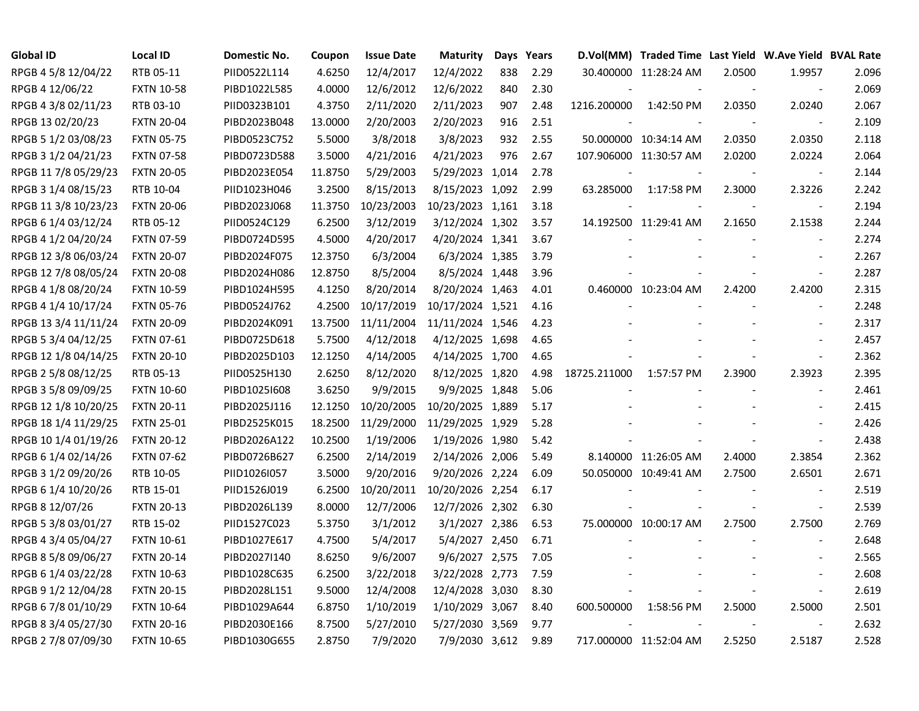| <b>Global ID</b>     | Local ID          | Domestic No. | Coupon  | <b>Issue Date</b> | <b>Maturity</b>  | Days | Years |              | D.Vol(MM) Traded Time Last Yield W.Ave Yield BVAL Rate |        |                          |       |
|----------------------|-------------------|--------------|---------|-------------------|------------------|------|-------|--------------|--------------------------------------------------------|--------|--------------------------|-------|
| RPGB 4 5/8 12/04/22  | RTB 05-11         | PIID0522L114 | 4.6250  | 12/4/2017         | 12/4/2022        | 838  | 2.29  |              | 30.400000 11:28:24 AM                                  | 2.0500 | 1.9957                   | 2.096 |
| RPGB 4 12/06/22      | <b>FXTN 10-58</b> | PIBD1022L585 | 4.0000  | 12/6/2012         | 12/6/2022        | 840  | 2.30  |              |                                                        |        |                          | 2.069 |
| RPGB 4 3/8 02/11/23  | RTB 03-10         | PIID0323B101 | 4.3750  | 2/11/2020         | 2/11/2023        | 907  | 2.48  | 1216.200000  | 1:42:50 PM                                             | 2.0350 | 2.0240                   | 2.067 |
| RPGB 13 02/20/23     | <b>FXTN 20-04</b> | PIBD2023B048 | 13.0000 | 2/20/2003         | 2/20/2023        | 916  | 2.51  |              |                                                        |        | $\overline{\phantom{a}}$ | 2.109 |
| RPGB 5 1/2 03/08/23  | <b>FXTN 05-75</b> | PIBD0523C752 | 5.5000  | 3/8/2018          | 3/8/2023         | 932  | 2.55  |              | 50.000000 10:34:14 AM                                  | 2.0350 | 2.0350                   | 2.118 |
| RPGB 3 1/2 04/21/23  | <b>FXTN 07-58</b> | PIBD0723D588 | 3.5000  | 4/21/2016         | 4/21/2023        | 976  | 2.67  |              | 107.906000 11:30:57 AM                                 | 2.0200 | 2.0224                   | 2.064 |
| RPGB 11 7/8 05/29/23 | <b>FXTN 20-05</b> | PIBD2023E054 | 11.8750 | 5/29/2003         | 5/29/2023 1,014  |      | 2.78  |              |                                                        |        |                          | 2.144 |
| RPGB 3 1/4 08/15/23  | RTB 10-04         | PIID1023H046 | 3.2500  | 8/15/2013         | 8/15/2023 1,092  |      | 2.99  | 63.285000    | 1:17:58 PM                                             | 2.3000 | 2.3226                   | 2.242 |
| RPGB 11 3/8 10/23/23 | <b>FXTN 20-06</b> | PIBD2023J068 | 11.3750 | 10/23/2003        | 10/23/2023 1,161 |      | 3.18  |              |                                                        |        | $\blacksquare$           | 2.194 |
| RPGB 6 1/4 03/12/24  | RTB 05-12         | PIID0524C129 | 6.2500  | 3/12/2019         | 3/12/2024 1,302  |      | 3.57  |              | 14.192500 11:29:41 AM                                  | 2.1650 | 2.1538                   | 2.244 |
| RPGB 4 1/2 04/20/24  | <b>FXTN 07-59</b> | PIBD0724D595 | 4.5000  | 4/20/2017         | 4/20/2024 1,341  |      | 3.67  |              |                                                        |        | $\blacksquare$           | 2.274 |
| RPGB 12 3/8 06/03/24 | <b>FXTN 20-07</b> | PIBD2024F075 | 12.3750 | 6/3/2004          | 6/3/2024 1,385   |      | 3.79  |              |                                                        |        | $\sim$                   | 2.267 |
| RPGB 12 7/8 08/05/24 | <b>FXTN 20-08</b> | PIBD2024H086 | 12.8750 | 8/5/2004          | 8/5/2024 1,448   |      | 3.96  |              |                                                        |        | $\blacksquare$           | 2.287 |
| RPGB 4 1/8 08/20/24  | <b>FXTN 10-59</b> | PIBD1024H595 | 4.1250  | 8/20/2014         | 8/20/2024 1,463  |      | 4.01  |              | 0.460000 10:23:04 AM                                   | 2.4200 | 2.4200                   | 2.315 |
| RPGB 4 1/4 10/17/24  | <b>FXTN 05-76</b> | PIBD0524J762 | 4.2500  | 10/17/2019        | 10/17/2024 1,521 |      | 4.16  |              |                                                        |        |                          | 2.248 |
| RPGB 13 3/4 11/11/24 | <b>FXTN 20-09</b> | PIBD2024K091 | 13.7500 | 11/11/2004        | 11/11/2024 1,546 |      | 4.23  |              |                                                        |        |                          | 2.317 |
| RPGB 5 3/4 04/12/25  | <b>FXTN 07-61</b> | PIBD0725D618 | 5.7500  | 4/12/2018         | 4/12/2025 1,698  |      | 4.65  |              |                                                        |        | $\overline{\phantom{a}}$ | 2.457 |
| RPGB 12 1/8 04/14/25 | <b>FXTN 20-10</b> | PIBD2025D103 | 12.1250 | 4/14/2005         | 4/14/2025 1,700  |      | 4.65  |              |                                                        |        | $\blacksquare$           | 2.362 |
| RPGB 2 5/8 08/12/25  | RTB 05-13         | PIID0525H130 | 2.6250  | 8/12/2020         | 8/12/2025 1,820  |      | 4.98  | 18725.211000 | 1:57:57 PM                                             | 2.3900 | 2.3923                   | 2.395 |
| RPGB 3 5/8 09/09/25  | <b>FXTN 10-60</b> | PIBD10251608 | 3.6250  | 9/9/2015          | 9/9/2025 1,848   |      | 5.06  |              |                                                        |        | $\blacksquare$           | 2.461 |
| RPGB 12 1/8 10/20/25 | <b>FXTN 20-11</b> | PIBD2025J116 | 12.1250 | 10/20/2005        | 10/20/2025 1,889 |      | 5.17  |              |                                                        |        |                          | 2.415 |
| RPGB 18 1/4 11/29/25 | <b>FXTN 25-01</b> | PIBD2525K015 | 18.2500 | 11/29/2000        | 11/29/2025 1,929 |      | 5.28  |              |                                                        |        | $\blacksquare$           | 2.426 |
| RPGB 10 1/4 01/19/26 | <b>FXTN 20-12</b> | PIBD2026A122 | 10.2500 | 1/19/2006         | 1/19/2026 1,980  |      | 5.42  |              |                                                        |        | $\blacksquare$           | 2.438 |
| RPGB 6 1/4 02/14/26  | <b>FXTN 07-62</b> | PIBD0726B627 | 6.2500  | 2/14/2019         | 2/14/2026 2,006  |      | 5.49  |              | 8.140000 11:26:05 AM                                   | 2.4000 | 2.3854                   | 2.362 |
| RPGB 3 1/2 09/20/26  | RTB 10-05         | PIID1026I057 | 3.5000  | 9/20/2016         | 9/20/2026 2,224  |      | 6.09  |              | 50.050000 10:49:41 AM                                  | 2.7500 | 2.6501                   | 2.671 |
| RPGB 6 1/4 10/20/26  | RTB 15-01         | PIID1526J019 | 6.2500  | 10/20/2011        | 10/20/2026 2,254 |      | 6.17  |              |                                                        |        | $\blacksquare$           | 2.519 |
| RPGB 8 12/07/26      | <b>FXTN 20-13</b> | PIBD2026L139 | 8.0000  | 12/7/2006         | 12/7/2026 2,302  |      | 6.30  |              |                                                        |        | $\blacksquare$           | 2.539 |
| RPGB 5 3/8 03/01/27  | RTB 15-02         | PIID1527C023 | 5.3750  | 3/1/2012          | 3/1/2027 2,386   |      | 6.53  |              | 75.000000 10:00:17 AM                                  | 2.7500 | 2.7500                   | 2.769 |
| RPGB 4 3/4 05/04/27  | <b>FXTN 10-61</b> | PIBD1027E617 | 4.7500  | 5/4/2017          | 5/4/2027 2,450   |      | 6.71  |              |                                                        |        |                          | 2.648 |
| RPGB 8 5/8 09/06/27  | <b>FXTN 20-14</b> | PIBD2027I140 | 8.6250  | 9/6/2007          | 9/6/2027 2,575   |      | 7.05  |              |                                                        |        | $\overline{\phantom{a}}$ | 2.565 |
| RPGB 6 1/4 03/22/28  | <b>FXTN 10-63</b> | PIBD1028C635 | 6.2500  | 3/22/2018         | 3/22/2028 2,773  |      | 7.59  |              |                                                        |        | $\blacksquare$           | 2.608 |
| RPGB 9 1/2 12/04/28  | <b>FXTN 20-15</b> | PIBD2028L151 | 9.5000  | 12/4/2008         | 12/4/2028 3,030  |      | 8.30  |              |                                                        |        | $\blacksquare$           | 2.619 |
| RPGB 67/8 01/10/29   | <b>FXTN 10-64</b> | PIBD1029A644 | 6.8750  | 1/10/2019         | 1/10/2029 3,067  |      | 8.40  | 600.500000   | 1:58:56 PM                                             | 2.5000 | 2.5000                   | 2.501 |
| RPGB 8 3/4 05/27/30  | <b>FXTN 20-16</b> | PIBD2030E166 | 8.7500  | 5/27/2010         | 5/27/2030 3,569  |      | 9.77  |              |                                                        |        |                          | 2.632 |
| RPGB 2 7/8 07/09/30  | <b>FXTN 10-65</b> | PIBD1030G655 | 2.8750  | 7/9/2020          | 7/9/2030 3,612   |      | 9.89  |              | 717.000000 11:52:04 AM                                 | 2.5250 | 2.5187                   | 2.528 |